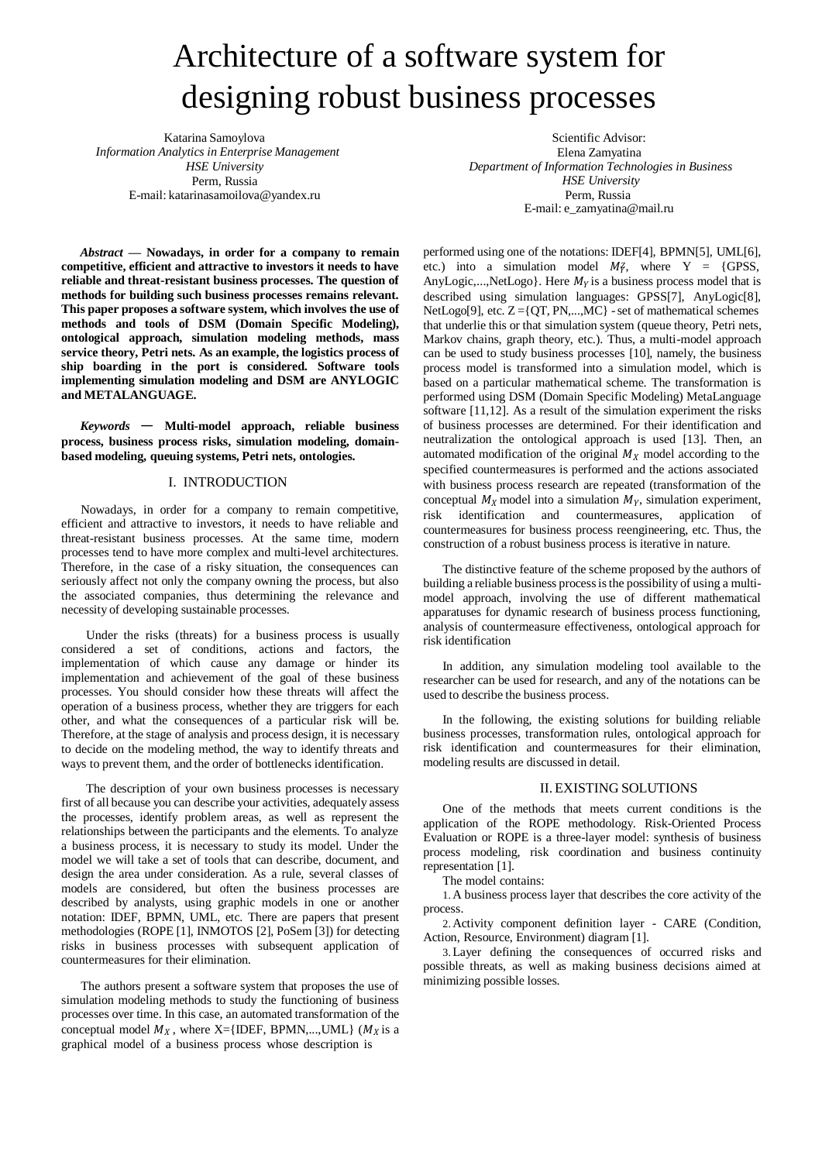# Architecture of a software system for designing robust business processes

Katarina Samoylova *Information Analytics in Enterprise Management HSE University* Perm, Russia E-mail: [katarinasamoilova@yandex.ru](mailto:katarinasamoilova@yandex.ru)

*Abstract* **— Nowadays, in order for a company to remain competitive, efficient and attractive to investors it needs to have reliable and threat-resistant business processes. The question of methods for building such business processes remains relevant. This paper proposes a software system, which involves the use of methods and tools of DSM (Domain Specific Modeling), ontological approach, simulation modeling methods, mass service theory, Petri nets. As an example, the logistics process of ship boarding in the port is considered. Software tools implementing simulation modeling and DSM are ANYLOGIC and METALANGUAGE.**

*Keywords* — **Multi-model approach, reliable business process, business process risks, simulation modeling, domainbased modeling, queuing systems, Petri nets, ontologies.**

### I. INTRODUCTION

Nowadays, in order for a company to remain competitive, efficient and attractive to investors, it needs to have reliable and threat-resistant business processes. At the same time, modern processes tend to have more complex and multi-level architectures. Therefore, in the case of a risky situation, the consequences can seriously affect not only the company owning the process, but also the associated companies, thus determining the relevance and necessity of developing sustainable processes.

Under the risks (threats) for a business process is usually considered a set of conditions, actions and factors, the implementation of which cause any damage or hinder its implementation and achievement of the goal of these business processes. You should consider how these threats will affect the operation of a business process, whether they are triggers for each other, and what the consequences of a particular risk will be. Therefore, at the stage of analysis and process design, it is necessary to decide on the modeling method, the way to identify threats and ways to prevent them, and the order of bottlenecks identification.

The description of your own business processes is necessary first of all because you can describe your activities, adequately assess the processes, identify problem areas, as well as represent the relationships between the participants and the elements. To analyze a business process, it is necessary to study its model. Under the model we will take a set of tools that can describe, document, and design the area under consideration. As a rule, several classes of models are considered, but often the business processes are described by analysts, using graphic models in one or another notation: IDEF, BPMN, UML, etc. There are papers that present methodologies (ROPE [1], INMOTOS [2], PoSem [3]) for detecting risks in business processes with subsequent application of countermeasures for their elimination.

The authors present a software system that proposes the use of simulation modeling methods to study the functioning of business processes over time. In this case, an automated transformation of the conceptual model  $M_X$ , where X={IDEF, BPMN,...,UML} ( $M_X$  is a graphical model of a business process whose description is

Scientific Advisor: Elena Zamyatina *Department of Information Technologies in Business HSE University* Perm, Russia E-mail: [e\\_zamyatina@mail.ru](mailto:e_zamyatina@mail.ru)

etc.) into a simulation model  $M_{\gamma}$ , where Y = {GPSS, performed using one of the notations: IDEF[4], BPMN[5], UML[6], AnyLogic,...,NetLogo}. Here  $M<sub>y</sub>$  is a business process model that is described using simulation languages: GPSS[7], AnyLogic[8], NetLogo[9], etc.  $Z = \{QT, PN, ..., MC\}$  - set of mathematical schemes that underlie this or that simulation system (queue theory, Petri nets, Markov chains, graph theory, etc.). Thus, a multi-model approach can be used to study business processes [10], namely, the business process model is transformed into a simulation model, which is based on a particular mathematical scheme. The transformation is performed using DSM (Domain Specific Modeling) MetaLanguage software [11,12]. As a result of the simulation experiment the risks of business processes are determined. For their identification and neutralization the ontological approach is used [13]. Then, an automated modification of the original  $M_X$  model according to the specified countermeasures is performed and the actions associated with business process research are repeated (transformation of the conceptual  $M_X$  model into a simulation  $M_Y$ , simulation experiment, risk identification and countermeasures, application of countermeasures for business process reengineering, etc. Thus, the construction of a robust business process is iterative in nature.

The distinctive feature of the scheme proposed by the authors of building a reliable business process is the possibility of using a multimodel approach, involving the use of different mathematical apparatuses for dynamic research of business process functioning, analysis of countermeasure effectiveness, ontological approach for risk identification

In addition, any simulation modeling tool available to the researcher can be used for research, and any of the notations can be used to describe the business process.

In the following, the existing solutions for building reliable business processes, transformation rules, ontological approach for risk identification and countermeasures for their elimination, modeling results are discussed in detail.

#### II. EXISTING SOLUTIONS

One of the methods that meets current conditions is the application of the ROPE methodology. Risk-Oriented Process Evaluation or ROPE is a three-layer model: synthesis of business process modeling, risk coordination and business continuity representation [1].

The model contains:

1.A business process layer that describes the core activity of the process.

2.Activity component definition layer - CARE (Condition, Action, Resource, Environment) diagram [1].

3.Layer defining the consequences of occurred risks and possible threats, as well as making business decisions aimed at minimizing possible losses.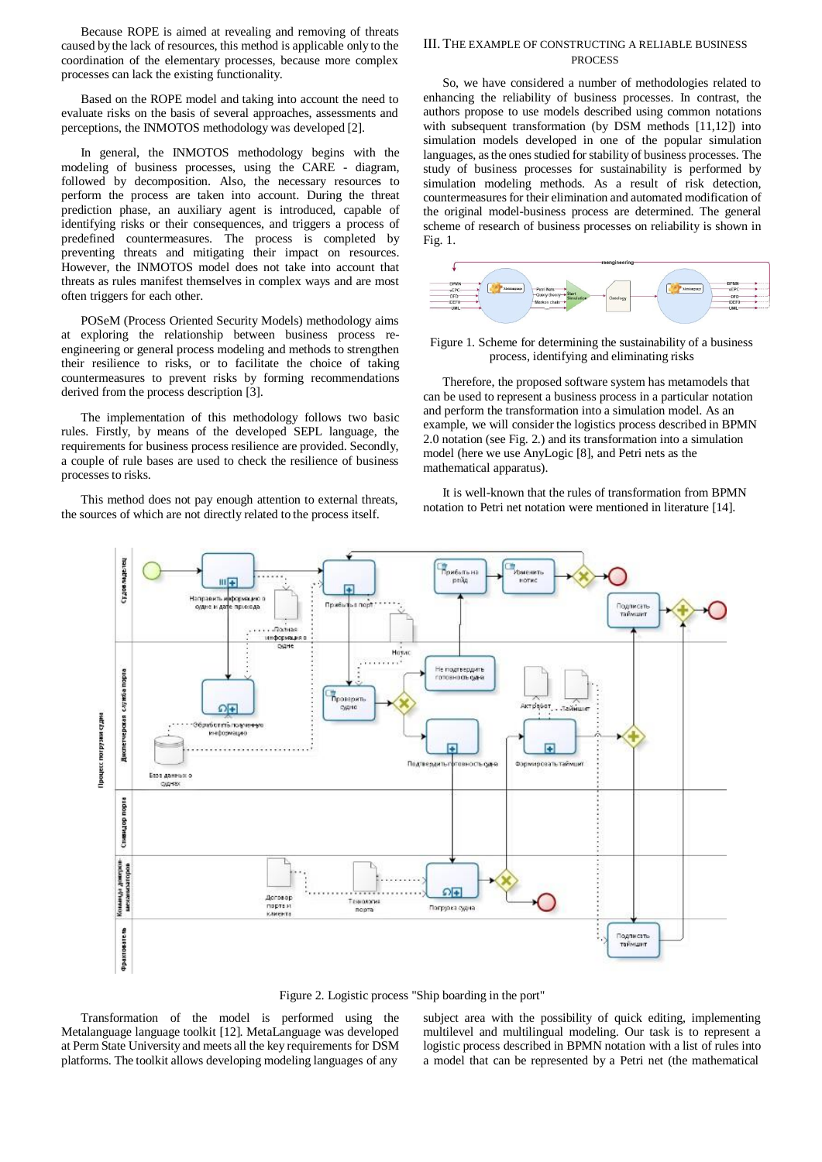Because ROPE is aimed at revealing and removing of threats caused by the lack of resources, this method is applicable only to the coordination of the elementary processes, because more complex processes can lack the existing functionality.

Based on the ROPE model and taking into account the need to evaluate risks on the basis of several approaches, assessments and perceptions, the INMOTOS methodology was developed [2].

In general, the INMOTOS methodology begins with the modeling of business processes, using the CARE - diagram, followed by decomposition. Also, the necessary resources to perform the process are taken into account. During the threat prediction phase, an auxiliary agent is introduced, capable of identifying risks or their consequences, and triggers a process of predefined countermeasures. The process is completed by preventing threats and mitigating their impact on resources. However, the INMOTOS model does not take into account that threats as rules manifest themselves in complex ways and are most often triggers for each other.

POSeM (Process Oriented Security Models) methodology aims at exploring the relationship between business process reengineering or general process modeling and methods to strengthen their resilience to risks, or to facilitate the choice of taking countermeasures to prevent risks by forming recommendations derived from the process description [3].

The implementation of this methodology follows two basic rules. Firstly, by means of the developed SEPL language, the requirements for business process resilience are provided. Secondly, a couple of rule bases are used to check the resilience of business processes to risks.

This method does not pay enough attention to external threats, the sources of which are not directly related to the process itself.

#### III. THE EXAMPLE OF CONSTRUCTING A RELIABLE BUSINESS PROCESS

So, we have considered a number of methodologies related to enhancing the reliability of business processes. In contrast, the authors propose to use models described using common notations with subsequent transformation (by DSM methods [11,12]) into simulation models developed in one of the popular simulation languages, as the ones studied for stability of business processes. The study of business processes for sustainability is performed by simulation modeling methods. As a result of risk detection, countermeasures for their elimination and automated modification of the original model-business process are determined. The general scheme of research of business processes on reliability is shown in Fig. 1.



Figure 1. Scheme for determining the sustainability of a business process, identifying and eliminating risks

Therefore, the proposed software system has metamodels that can be used to represent a business process in a particular notation and perform the transformation into a simulation model. As an example, we will consider the logistics process described in BPMN 2.0 notation (see Fig. 2.) and its transformation into a simulation model (here we use AnyLogic [8], and Petri nets as the mathematical apparatus).

It is well-known that the rules of transformation from BPMN notation to Petri net notation were mentioned in literature [14].



Figure 2. Logistic process "Ship boarding in the port"

Transformation of the model is performed using the Metalanguage language toolkit [12]. MetaLanguage was developed at Perm State University and meets all the key requirements for DSM platforms. The toolkit allows developing modeling languages of any

subject area with the possibility of quick editing, implementing multilevel and multilingual modeling. Our task is to represent a logistic process described in BPMN notation with a list of rules into a model that can be represented by a Petri net (the mathematical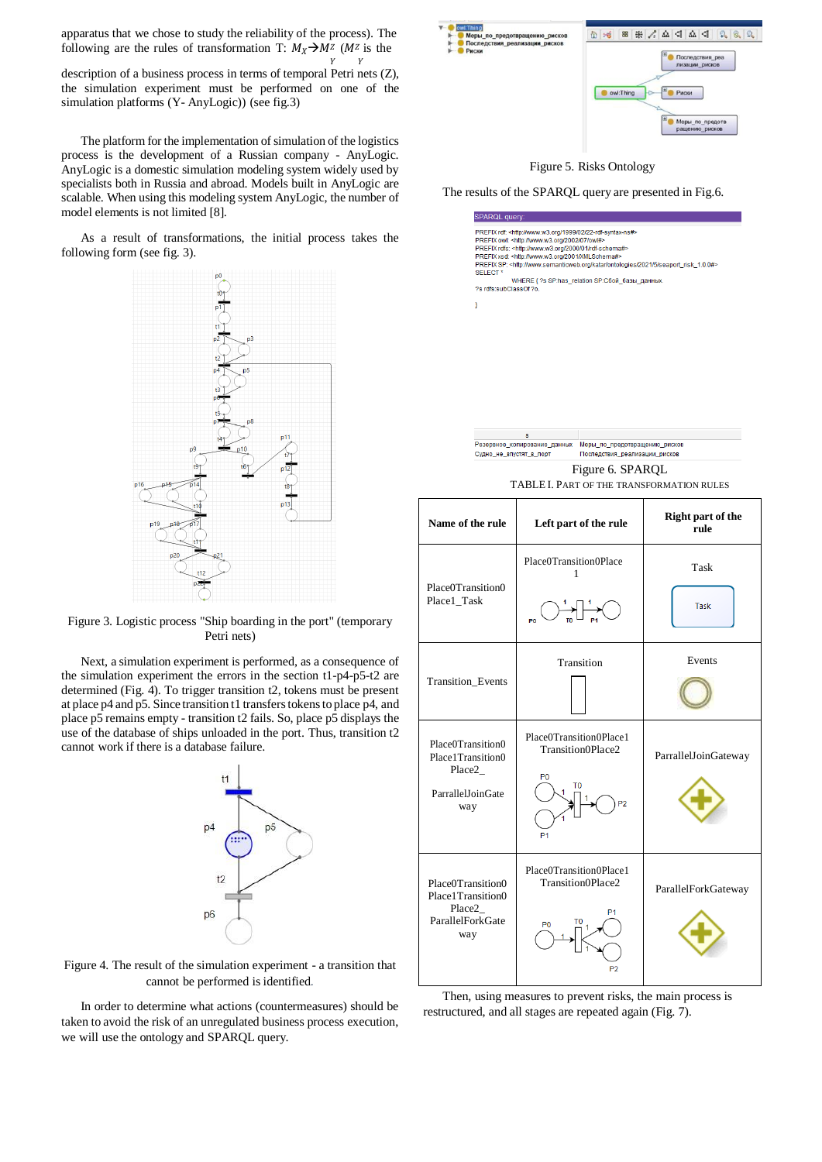apparatus that we chose to study the reliability of the process). The following are the rules of transformation T:  $M_X \rightarrow M^z$  ( $M^z$  is the Y Y

description of a business process in terms of temporal Petri nets (Z), the simulation experiment must be performed on one of the simulation platforms (Y- AnyLogic)) (see fig.3)

The platform for the implementation of simulation of the logistics process is the development of a Russian company - AnyLogic. AnyLogic is a domestic simulation modeling system widely used by specialists both in Russia and abroad. Models built in AnyLogic are scalable. When using this modeling system AnyLogic, the number of model elements is not limited [8].

As a result of transformations, the initial process takes the following form (see fig. 3).



Figure 3. Logistic process "Ship boarding in the port" (temporary Petri nets)

Next, a simulation experiment is performed, as a consequence of the simulation experiment the errors in the section t1-p4-p5-t2 are determined (Fig. 4). To trigger transition t2, tokens must be present at place p4 and p5. Since transition t1 transferstokensto place p4, and place p5 remains empty - transition t2 fails. So, place p5 displays the use of the database of ships unloaded in the port. Thus, transition t2 cannot work if there is a database failure.





In order to determine what actions (countermeasures) should be taken to avoid the risk of an unregulated business process execution, we will use the ontology and SPARQL query.



Figure 5. Risks Ontology

The results of the SPARQL query are presented in Fig.6.



.<br>Резервное копирование данных Меры по предотвращению рисков Судно не впустят в порт Последствия реализации рисков

Figure 6. SPARQL TABLE I. PART OF THE TRANSFORMATION RULES

|  | Name of the rule                                                             | Left part of the rule                                                                              | <b>Right part of the</b><br>rule |
|--|------------------------------------------------------------------------------|----------------------------------------------------------------------------------------------------|----------------------------------|
|  | Place0Transition0<br>Place1_Task                                             | Place0Transition0Place<br>$\mathbf{1}$                                                             | Task<br>Task                     |
|  | <b>Transition Events</b>                                                     | Transition                                                                                         | Events                           |
|  | Place0Transition0<br>Place1Transition0<br>Place2<br>ParrallelJoinGate<br>way | Place0Transition0Place1<br>Transition0Place2<br>P <sub>0</sub><br>P <sub>2</sub><br>P <sub>1</sub> | ParrallelJoinGateway             |
|  | Place0Transition0<br>Place1Transition0<br>Place2<br>ParallelForkGate<br>way  | Place0Transition0Place1<br>Transition0Place2<br>P1<br>P <sub>0</sub><br>P <sub>2</sub>             | ParallelForkGateway              |